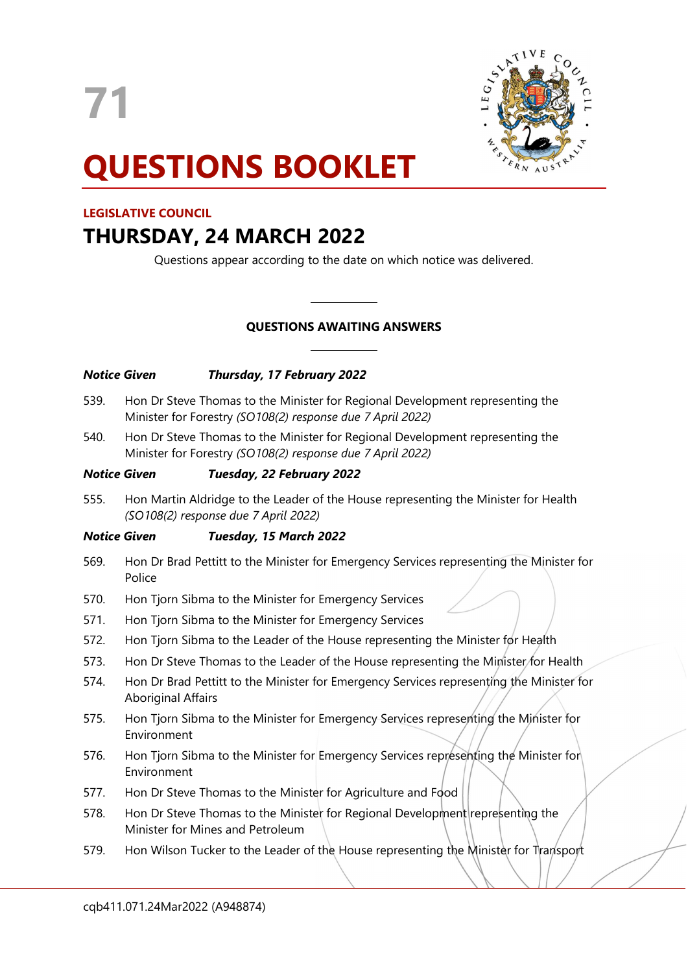71



# QUESTIONS BOOKLET

# LEGISLATIVE COUNCIL

# THURSDAY, 24 MARCH 2022

Questions appear according to the date on which notice was delivered.

# QUESTIONS AWAITING ANSWERS

 $\overline{a}$ 

 $\overline{a}$ 

| <b>Notice Given</b> |                                                                                                                                             | <b>Thursday, 17 February 2022</b>                                                                                                           |  |
|---------------------|---------------------------------------------------------------------------------------------------------------------------------------------|---------------------------------------------------------------------------------------------------------------------------------------------|--|
| 539.                |                                                                                                                                             | Hon Dr Steve Thomas to the Minister for Regional Development representing the<br>Minister for Forestry (SO108(2) response due 7 April 2022) |  |
| 540.                | Hon Dr Steve Thomas to the Minister for Regional Development representing the<br>Minister for Forestry (SO108(2) response due 7 April 2022) |                                                                                                                                             |  |
| <b>Notice Given</b> |                                                                                                                                             | Tuesday, 22 February 2022                                                                                                                   |  |
| 555.                |                                                                                                                                             | Hon Martin Aldridge to the Leader of the House representing the Minister for Health<br>(SO108(2) response due 7 April 2022)                 |  |
|                     | Notice Given                                                                                                                                | Tuesday, 15 March 2022                                                                                                                      |  |
| 569.                | Police                                                                                                                                      | Hon Dr Brad Pettitt to the Minister for Emergency Services representing the Minister for                                                    |  |

- 570. Hon Tjorn Sibma to the Minister for Emergency Services
- 571. Hon Tjorn Sibma to the Minister for Emergency Services
- 572. Hon Tjorn Sibma to the Leader of the House representing the Minister for Health
- 573. Hon Dr Steve Thomas to the Leader of the House representing the Minister for Health
- 574. Hon Dr Brad Pettitt to the Minister for Emergency Services representing the Minister for Aboriginal Affairs
- 575. Hon Tjorn Sibma to the Minister for Emergency Services representing the Minister for Environment
- 576. Hon Tjorn Sibma to the Minister for Emergency Services representing the Minister for Environment
- 577. Hon Dr Steve Thomas to the Minister for Agriculture and Food
- 578. Hon Dr Steve Thomas to the Minister for Regional Development representing the Minister for Mines and Petroleum
- 579. Hon Wilson Tucker to the Leader of the House representing the Minister for Transport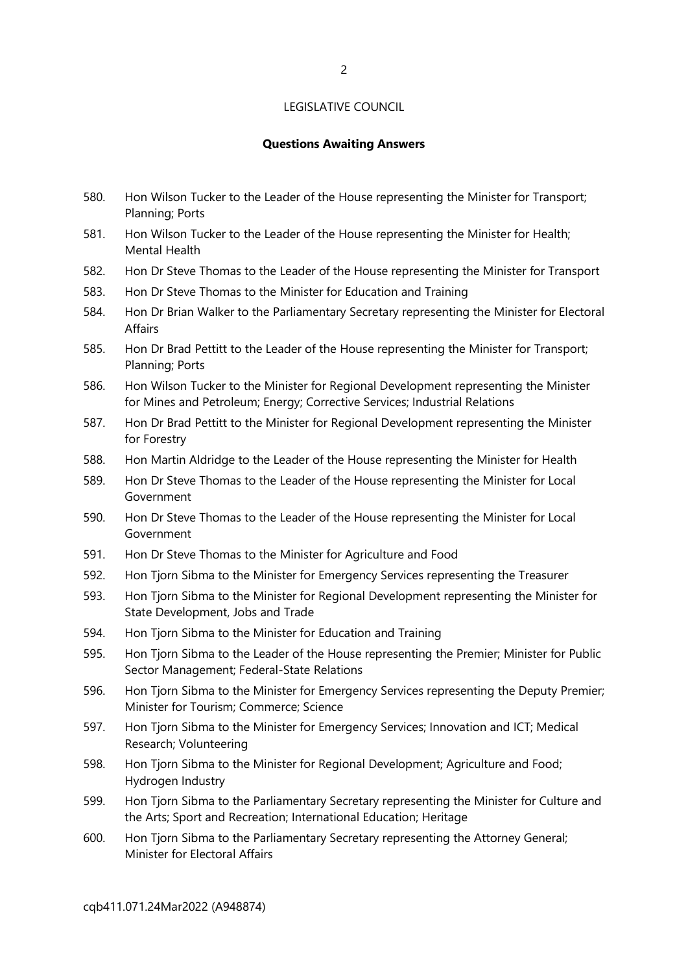#### Questions Awaiting Answers

- 580. Hon Wilson Tucker to the Leader of the House representing the Minister for Transport; Planning; Ports
- 581. Hon Wilson Tucker to the Leader of the House representing the Minister for Health; Mental Health
- 582. Hon Dr Steve Thomas to the Leader of the House representing the Minister for Transport
- 583. Hon Dr Steve Thomas to the Minister for Education and Training
- 584. Hon Dr Brian Walker to the Parliamentary Secretary representing the Minister for Electoral Affairs
- 585. Hon Dr Brad Pettitt to the Leader of the House representing the Minister for Transport; Planning; Ports
- 586. Hon Wilson Tucker to the Minister for Regional Development representing the Minister for Mines and Petroleum; Energy; Corrective Services; Industrial Relations
- 587. Hon Dr Brad Pettitt to the Minister for Regional Development representing the Minister for Forestry
- 588. Hon Martin Aldridge to the Leader of the House representing the Minister for Health
- 589. Hon Dr Steve Thomas to the Leader of the House representing the Minister for Local Government
- 590. Hon Dr Steve Thomas to the Leader of the House representing the Minister for Local Government
- 591. Hon Dr Steve Thomas to the Minister for Agriculture and Food
- 592. Hon Tjorn Sibma to the Minister for Emergency Services representing the Treasurer
- 593. Hon Tjorn Sibma to the Minister for Regional Development representing the Minister for State Development, Jobs and Trade
- 594. Hon Tjorn Sibma to the Minister for Education and Training
- 595. Hon Tjorn Sibma to the Leader of the House representing the Premier; Minister for Public Sector Management; Federal-State Relations
- 596. Hon Tjorn Sibma to the Minister for Emergency Services representing the Deputy Premier; Minister for Tourism; Commerce; Science
- 597. Hon Tjorn Sibma to the Minister for Emergency Services; Innovation and ICT; Medical Research; Volunteering
- 598. Hon Tjorn Sibma to the Minister for Regional Development; Agriculture and Food; Hydrogen Industry
- 599. Hon Tjorn Sibma to the Parliamentary Secretary representing the Minister for Culture and the Arts; Sport and Recreation; International Education; Heritage
- 600. Hon Tjorn Sibma to the Parliamentary Secretary representing the Attorney General; Minister for Electoral Affairs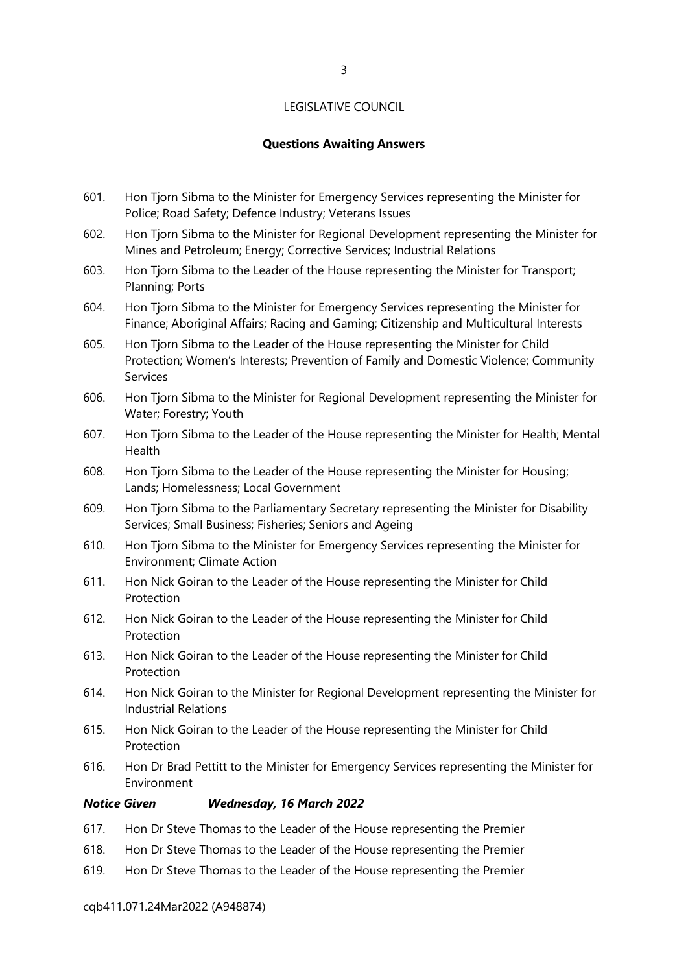# Questions Awaiting Answers

- 601. Hon Tjorn Sibma to the Minister for Emergency Services representing the Minister for Police; Road Safety; Defence Industry; Veterans Issues
- 602. Hon Tjorn Sibma to the Minister for Regional Development representing the Minister for Mines and Petroleum; Energy; Corrective Services; Industrial Relations
- 603. Hon Tjorn Sibma to the Leader of the House representing the Minister for Transport; Planning; Ports
- 604. Hon Tjorn Sibma to the Minister for Emergency Services representing the Minister for Finance; Aboriginal Affairs; Racing and Gaming; Citizenship and Multicultural Interests
- 605. Hon Tjorn Sibma to the Leader of the House representing the Minister for Child Protection; Women's Interests; Prevention of Family and Domestic Violence; Community Services
- 606. Hon Tjorn Sibma to the Minister for Regional Development representing the Minister for Water; Forestry; Youth
- 607. Hon Tjorn Sibma to the Leader of the House representing the Minister for Health; Mental Health
- 608. Hon Tjorn Sibma to the Leader of the House representing the Minister for Housing; Lands; Homelessness; Local Government
- 609. Hon Tjorn Sibma to the Parliamentary Secretary representing the Minister for Disability Services; Small Business; Fisheries; Seniors and Ageing
- 610. Hon Tjorn Sibma to the Minister for Emergency Services representing the Minister for Environment; Climate Action
- 611. Hon Nick Goiran to the Leader of the House representing the Minister for Child Protection
- 612. Hon Nick Goiran to the Leader of the House representing the Minister for Child **Protection**
- 613. Hon Nick Goiran to the Leader of the House representing the Minister for Child Protection
- 614. Hon Nick Goiran to the Minister for Regional Development representing the Minister for Industrial Relations
- 615. Hon Nick Goiran to the Leader of the House representing the Minister for Child Protection
- 616. Hon Dr Brad Pettitt to the Minister for Emergency Services representing the Minister for Environment

#### Notice Given Wednesday, 16 March 2022

- 617. Hon Dr Steve Thomas to the Leader of the House representing the Premier
- 618. Hon Dr Steve Thomas to the Leader of the House representing the Premier
- 619. Hon Dr Steve Thomas to the Leader of the House representing the Premier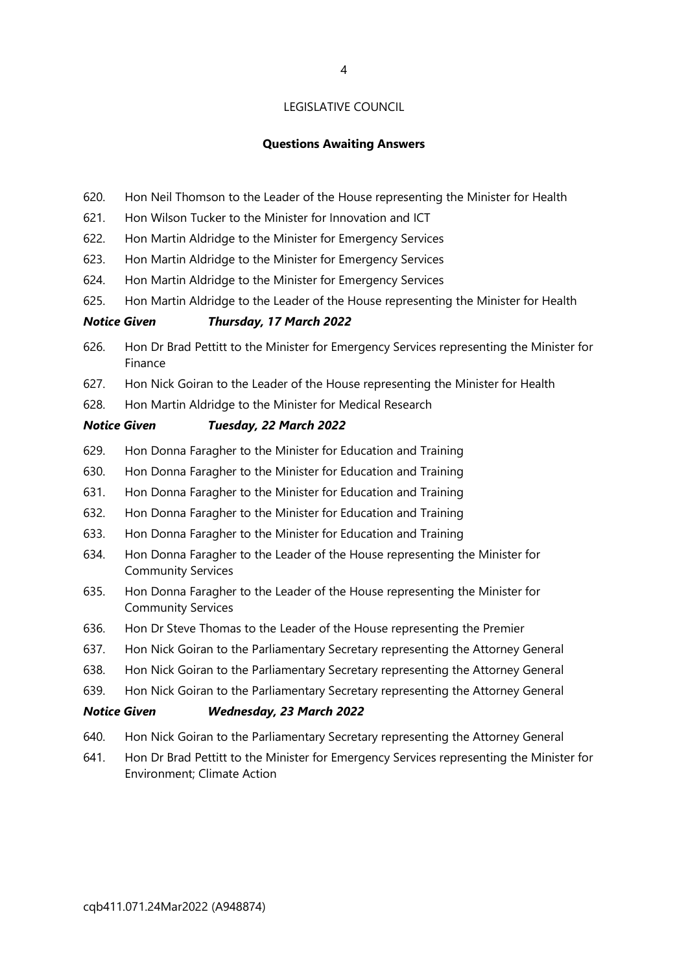# Questions Awaiting Answers

- 620. Hon Neil Thomson to the Leader of the House representing the Minister for Health
- 621. Hon Wilson Tucker to the Minister for Innovation and ICT
- 622. Hon Martin Aldridge to the Minister for Emergency Services
- 623. Hon Martin Aldridge to the Minister for Emergency Services
- 624. Hon Martin Aldridge to the Minister for Emergency Services
- 625. Hon Martin Aldridge to the Leader of the House representing the Minister for Health

# Notice Given Thursday, 17 March 2022

- 626. Hon Dr Brad Pettitt to the Minister for Emergency Services representing the Minister for Finance
- 627. Hon Nick Goiran to the Leader of the House representing the Minister for Health
- 628. Hon Martin Aldridge to the Minister for Medical Research

# Notice Given Tuesday, 22 March 2022

- 629. Hon Donna Faragher to the Minister for Education and Training
- 630. Hon Donna Faragher to the Minister for Education and Training
- 631. Hon Donna Faragher to the Minister for Education and Training
- 632. Hon Donna Faragher to the Minister for Education and Training
- 633. Hon Donna Faragher to the Minister for Education and Training
- 634. Hon Donna Faragher to the Leader of the House representing the Minister for Community Services
- 635. Hon Donna Faragher to the Leader of the House representing the Minister for Community Services
- 636. Hon Dr Steve Thomas to the Leader of the House representing the Premier
- 637. Hon Nick Goiran to the Parliamentary Secretary representing the Attorney General
- 638. Hon Nick Goiran to the Parliamentary Secretary representing the Attorney General
- 639. Hon Nick Goiran to the Parliamentary Secretary representing the Attorney General

#### Notice Given Wednesday, 23 March 2022

- 640. Hon Nick Goiran to the Parliamentary Secretary representing the Attorney General
- 641. Hon Dr Brad Pettitt to the Minister for Emergency Services representing the Minister for Environment; Climate Action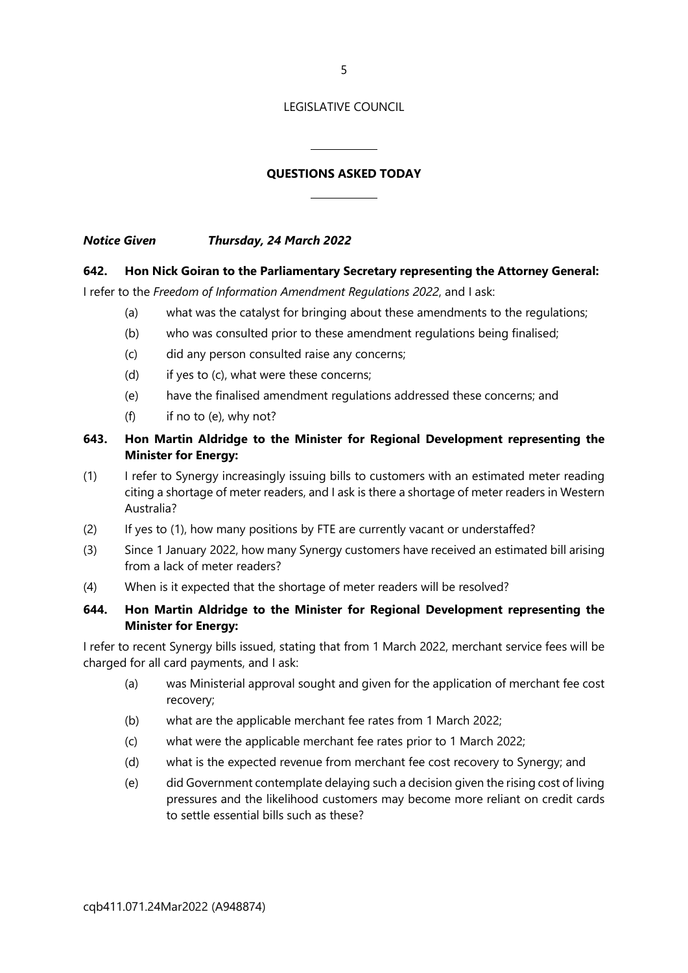5

# LEGISLATIVE COUNCIL

# QUESTIONS ASKED TODAY

 $\overline{a}$ 

 $\overline{a}$ 

Notice Given Thursday, 24 March 2022

# 642. Hon Nick Goiran to the Parliamentary Secretary representing the Attorney General:

I refer to the Freedom of Information Amendment Regulations 2022, and I ask:

- (a) what was the catalyst for bringing about these amendments to the regulations;
- (b) who was consulted prior to these amendment regulations being finalised;
- (c) did any person consulted raise any concerns;
- (d) if yes to (c), what were these concerns;
- (e) have the finalised amendment regulations addressed these concerns; and
- (f) if no to (e), why not?

# 643. Hon Martin Aldridge to the Minister for Regional Development representing the Minister for Energy:

- (1) I refer to Synergy increasingly issuing bills to customers with an estimated meter reading citing a shortage of meter readers, and I ask is there a shortage of meter readers in Western Australia?
- (2) If yes to (1), how many positions by FTE are currently vacant or understaffed?
- (3) Since 1 January 2022, how many Synergy customers have received an estimated bill arising from a lack of meter readers?
- (4) When is it expected that the shortage of meter readers will be resolved?

# 644. Hon Martin Aldridge to the Minister for Regional Development representing the Minister for Energy:

I refer to recent Synergy bills issued, stating that from 1 March 2022, merchant service fees will be charged for all card payments, and I ask:

- (a) was Ministerial approval sought and given for the application of merchant fee cost recovery;
- (b) what are the applicable merchant fee rates from 1 March 2022;
- (c) what were the applicable merchant fee rates prior to 1 March 2022;
- (d) what is the expected revenue from merchant fee cost recovery to Synergy; and
- (e) did Government contemplate delaying such a decision given the rising cost of living pressures and the likelihood customers may become more reliant on credit cards to settle essential bills such as these?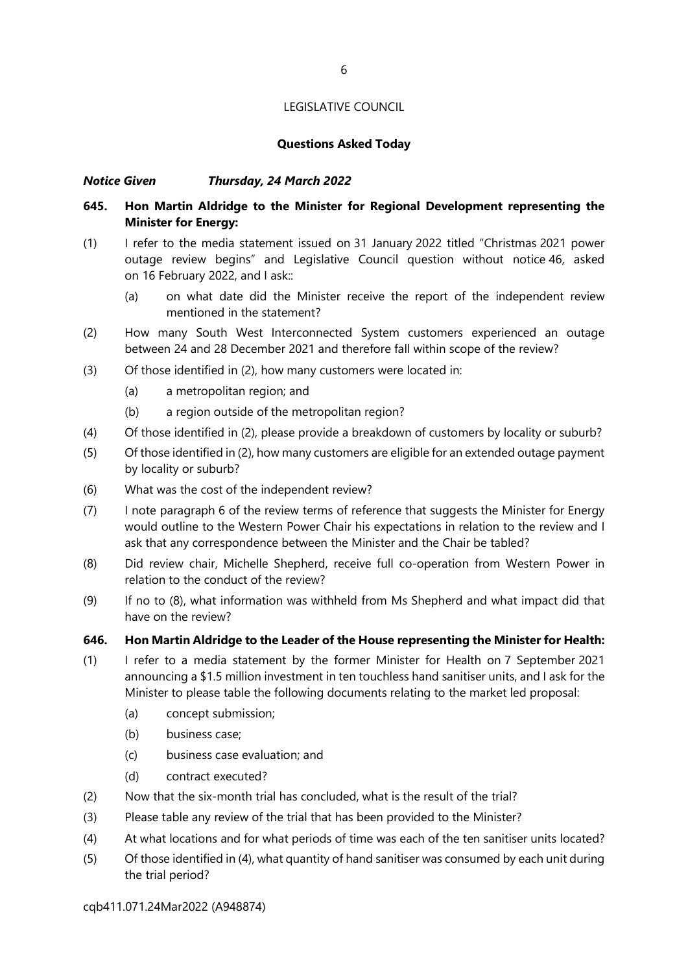# Questions Asked Today

# Notice Given Thursday, 24 March 2022

# 645. Hon Martin Aldridge to the Minister for Regional Development representing the Minister for Energy:

- (1) I refer to the media statement issued on 31 January 2022 titled "Christmas 2021 power outage review begins" and Legislative Council question without notice 46, asked on 16 February 2022, and I ask::
	- (a) on what date did the Minister receive the report of the independent review mentioned in the statement?
- (2) How many South West Interconnected System customers experienced an outage between 24 and 28 December 2021 and therefore fall within scope of the review?
- (3) Of those identified in (2), how many customers were located in:
	- (a) a metropolitan region; and
	- (b) a region outside of the metropolitan region?
- (4) Of those identified in (2), please provide a breakdown of customers by locality or suburb?
- (5) Of those identified in (2), how many customers are eligible for an extended outage payment by locality or suburb?
- (6) What was the cost of the independent review?
- (7) I note paragraph 6 of the review terms of reference that suggests the Minister for Energy would outline to the Western Power Chair his expectations in relation to the review and I ask that any correspondence between the Minister and the Chair be tabled?
- (8) Did review chair, Michelle Shepherd, receive full co-operation from Western Power in relation to the conduct of the review?
- (9) If no to (8), what information was withheld from Ms Shepherd and what impact did that have on the review?

#### 646. Hon Martin Aldridge to the Leader of the House representing the Minister for Health:

- (1) I refer to a media statement by the former Minister for Health on 7 September 2021 announcing a \$1.5 million investment in ten touchless hand sanitiser units, and I ask for the Minister to please table the following documents relating to the market led proposal:
	- (a) concept submission;
	- (b) business case;
	- (c) business case evaluation; and
	- (d) contract executed?
- (2) Now that the six-month trial has concluded, what is the result of the trial?
- (3) Please table any review of the trial that has been provided to the Minister?
- (4) At what locations and for what periods of time was each of the ten sanitiser units located?
- (5) Of those identified in (4), what quantity of hand sanitiser was consumed by each unit during the trial period?

cqb411.071.24Mar2022 (A948874)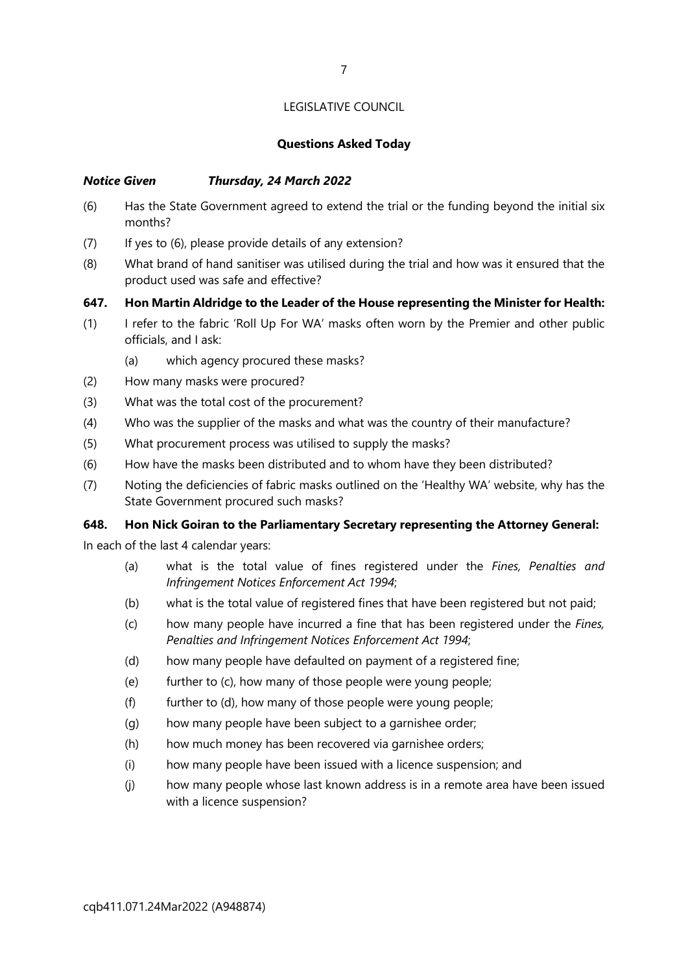# Questions Asked Today

# Notice Given Thursday, 24 March 2022

- (6) Has the State Government agreed to extend the trial or the funding beyond the initial six months?
- (7) If yes to (6), please provide details of any extension?
- (8) What brand of hand sanitiser was utilised during the trial and how was it ensured that the product used was safe and effective?
- 647. Hon Martin Aldridge to the Leader of the House representing the Minister for Health:
- (1) I refer to the fabric 'Roll Up For WA' masks often worn by the Premier and other public officials, and I ask:
	- (a) which agency procured these masks?
- (2) How many masks were procured?
- (3) What was the total cost of the procurement?
- (4) Who was the supplier of the masks and what was the country of their manufacture?
- (5) What procurement process was utilised to supply the masks?
- (6) How have the masks been distributed and to whom have they been distributed?
- (7) Noting the deficiencies of fabric masks outlined on the 'Healthy WA' website, why has the State Government procured such masks?

# 648. Hon Nick Goiran to the Parliamentary Secretary representing the Attorney General:

In each of the last 4 calendar years:

- (a) what is the total value of fines registered under the Fines, Penalties and Infringement Notices Enforcement Act 1994;
- (b) what is the total value of registered fines that have been registered but not paid;
- (c) how many people have incurred a fine that has been registered under the Fines, Penalties and Infringement Notices Enforcement Act 1994;
- (d) how many people have defaulted on payment of a registered fine;
- (e) further to (c), how many of those people were young people;
- $(f)$  further to  $(d)$ , how many of those people were young people;
- (g) how many people have been subject to a garnishee order;
- (h) how much money has been recovered via garnishee orders;
- (i) how many people have been issued with a licence suspension; and
- (j) how many people whose last known address is in a remote area have been issued with a licence suspension?